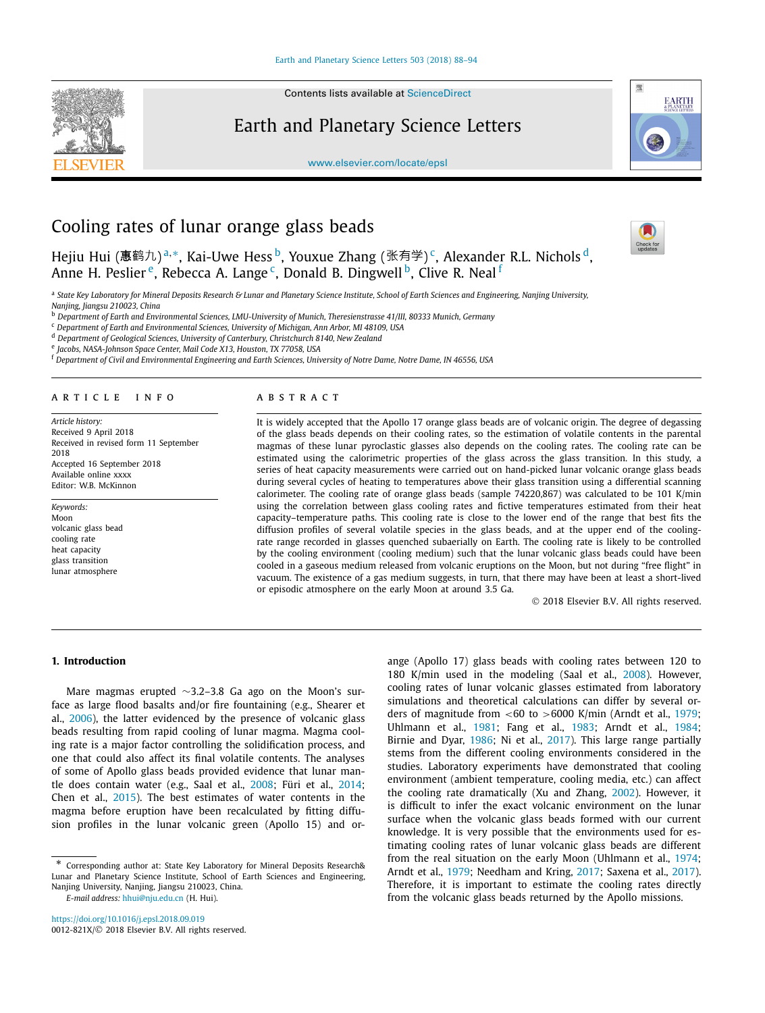

Contents lists available at [ScienceDirect](http://www.ScienceDirect.com/)

Earth and Planetary Science Letters



[www.elsevier.com/locate/epsl](http://www.elsevier.com/locate/epsl)

# Cooling rates of lunar orange glass beads

Hejiu Hui (惠鹤九)<sup>a,∗</sup>, Kai-Uwe Hess <sup>b</sup>, Youxue Zhang (张有学)<sup>c</sup>, Alexander R.L. Nichols <sup>d</sup>, Anne H. Peslier<sup>e</sup>, Rebecca A. Lange<sup>c</sup>, Donald B. Dingwell<sup>b</sup>, Clive R. Neal<sup>f</sup>



a State Key Laboratory for Mineral Deposits Research & Lunar and Planetary Science Institute, School of Earth Sciences and Engineering, Nanjing University, *Nanjing, Jiangsu 210023, China*

<sup>b</sup> *Department of Earth and Environmental Sciences, LMU-University of Munich, Theresienstrasse 41/III, 80333 Munich, Germany*

<sup>c</sup> *Department of Earth and Environmental Sciences, University of Michigan, Ann Arbor, MI 48109, USA*

<sup>d</sup> *Department of Geological Sciences, University of Canterbury, Christchurch 8140, New Zealand*

<sup>e</sup> *Jacobs, NASA-Johnson Space Center, Mail Code X13, Houston, TX 77058, USA*

<sup>f</sup> Department of Civil and Environmental Engineering and Earth Sciences, University of Notre Dame, Notre Dame, IN 46556, USA

# A R T I C L E I N F O A B S T R A C T

*Article history:* Received 9 April 2018 Received in revised form 11 September 2018 Accepted 16 September 2018 Available online xxxx Editor: W.B. McKinnon

*Keywords:* Moon volcanic glass bead cooling rate heat capacity glass transition lunar atmosphere

It is widely accepted that the Apollo 17 orange glass beads are of volcanic origin. The degree of degassing of the glass beads depends on their cooling rates, so the estimation of volatile contents in the parental magmas of these lunar pyroclastic glasses also depends on the cooling rates. The cooling rate can be estimated using the calorimetric properties of the glass across the glass transition. In this study, a series of heat capacity measurements were carried out on hand-picked lunar volcanic orange glass beads during several cycles of heating to temperatures above their glass transition using a differential scanning calorimeter. The cooling rate of orange glass beads (sample 74220,867) was calculated to be 101 K/min using the correlation between glass cooling rates and fictive temperatures estimated from their heat capacity–temperature paths. This cooling rate is close to the lower end of the range that best fits the diffusion profiles of several volatile species in the glass beads, and at the upper end of the coolingrate range recorded in glasses quenched subaerially on Earth. The cooling rate is likely to be controlled by the cooling environment (cooling medium) such that the lunar volcanic glass beads could have been cooled in a gaseous medium released from volcanic eruptions on the Moon, but not during "free flight" in vacuum. The existence of a gas medium suggests, in turn, that there may have been at least a short-lived or episodic atmosphere on the early Moon at around 3.5 Ga.

© 2018 Elsevier B.V. All rights reserved.

# **1. Introduction**

Mare magmas erupted ∼3.2–3.8 Ga ago on the Moon's surface as large flood basalts and/or fire fountaining (e.g., Shearer et al., [2006\)](#page-6-0), the latter evidenced by the presence of volcanic glass beads resulting from rapid cooling of lunar magma. Magma cooling rate is a major factor controlling the solidification process, and one that could also affect its final volatile contents. The analyses of some of Apollo glass beads provided evidence that lunar mantle does contain water (e.g., Saal et al., [2008;](#page-6-0) Füri et al., [2014;](#page-6-0) Chen et al., [2015\)](#page-6-0). The best estimates of water contents in the magma before eruption have been recalculated by fitting diffusion profiles in the lunar volcanic green (Apollo 15) and or-

*E-mail address:* [hhui@nju.edu.cn](mailto:hhui@nju.edu.cn) (H. Hui).

ange (Apollo 17) glass beads with cooling rates between 120 to 180 K/min used in the modeling (Saal et al., [2008\)](#page-6-0). However, cooling rates of lunar volcanic glasses estimated from laboratory simulations and theoretical calculations can differ by several orders of magnitude from *<*60 to *>*6000 K/min (Arndt et al., [1979;](#page-6-0) Uhlmann et al., [1981;](#page-6-0) Fang et al., [1983;](#page-6-0) Arndt et al., [1984;](#page-6-0) Birnie and Dyar, [1986;](#page-6-0) Ni et al., [2017\)](#page-6-0). This large range partially stems from the different cooling environments considered in the studies. Laboratory experiments have demonstrated that cooling environment (ambient temperature, cooling media, etc.) can affect the cooling rate dramatically (Xu and Zhang, [2002\)](#page-6-0). However, it is difficult to infer the exact volcanic environment on the lunar surface when the volcanic glass beads formed with our current knowledge. It is very possible that the environments used for estimating cooling rates of lunar volcanic glass beads are different from the real situation on the early Moon (Uhlmann et al., [1974;](#page-6-0) Arndt et al., [1979;](#page-6-0) Needham and Kring, [2017;](#page-6-0) Saxena et al., [2017\)](#page-6-0). Therefore, it is important to estimate the cooling rates directly from the volcanic glass beads returned by the Apollo missions.

<sup>\*</sup> Corresponding author at: State Key Laboratory for Mineral Deposits Research& Lunar and Planetary Science Institute, School of Earth Sciences and Engineering, Nanjing University, Nanjing, Jiangsu 210023, China.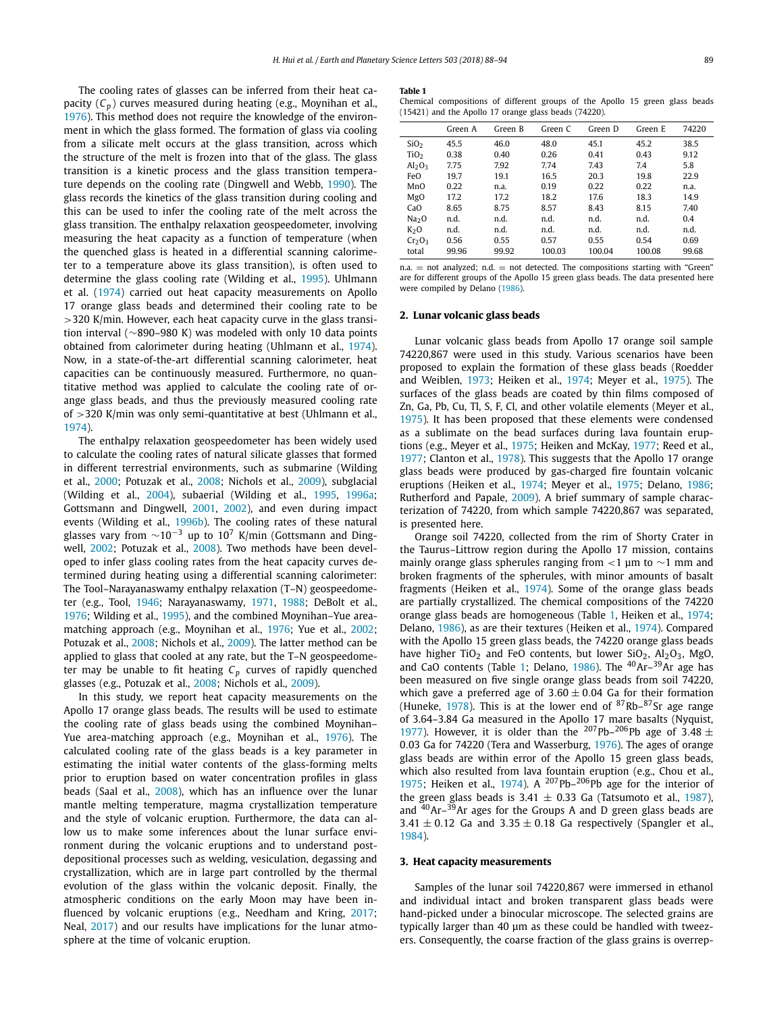<span id="page-1-0"></span>The cooling rates of glasses can be inferred from their heat capacity  $(C_p)$  curves measured during heating (e.g., Moynihan et al., [1976\)](#page-6-0). This method does not require the knowledge of the environment in which the glass formed. The formation of glass via cooling from a silicate melt occurs at the glass transition, across which the structure of the melt is frozen into that of the glass. The glass transition is a kinetic process and the glass transition temperature depends on the cooling rate (Dingwell and Webb, [1990\)](#page-6-0). The glass records the kinetics of the glass transition during cooling and this can be used to infer the cooling rate of the melt across the glass transition. The enthalpy relaxation geospeedometer, involving measuring the heat capacity as a function of temperature (when the quenched glass is heated in a differential scanning calorimeter to a temperature above its glass transition), is often used to determine the glass cooling rate (Wilding et al., [1995\)](#page-6-0). Uhlmann et al. [\(1974\)](#page-6-0) carried out heat capacity measurements on Apollo 17 orange glass beads and determined their cooling rate to be *>*320 K/min. However, each heat capacity curve in the glass transition interval (∼890–980 K) was modeled with only 10 data points obtained from calorimeter during heating (Uhlmann et al., [1974\)](#page-6-0). Now, in a state-of-the-art differential scanning calorimeter, heat capacities can be continuously measured. Furthermore, no quantitative method was applied to calculate the cooling rate of orange glass beads, and thus the previously measured cooling rate of *>*320 K/min was only semi-quantitative at best (Uhlmann et al., [1974\)](#page-6-0).

The enthalpy relaxation geospeedometer has been widely used to calculate the cooling rates of natural silicate glasses that formed in different terrestrial environments, such as submarine (Wilding et al., [2000;](#page-6-0) Potuzak et al., [2008;](#page-6-0) Nichols et al., [2009\)](#page-6-0), subglacial (Wilding et al., [2004\)](#page-6-0), subaerial (Wilding et al., [1995,](#page-6-0) [1996a;](#page-6-0) Gottsmann and Dingwell, [2001,](#page-6-0) [2002\)](#page-6-0), and even during impact events (Wilding et al., [1996b\)](#page-6-0). The cooling rates of these natural glasses vary from  $\sim$ 10<sup>-3</sup> up to 10<sup>7</sup> K/min (Gottsmann and Ding-well, [2002;](#page-6-0) Potuzak et al., [2008\)](#page-6-0). Two methods have been developed to infer glass cooling rates from the heat capacity curves determined during heating using a differential scanning calorimeter: The Tool–Narayanaswamy enthalpy relaxation (T–N) geospeedometer (e.g., Tool, [1946;](#page-6-0) Narayanaswamy, [1971,](#page-6-0) [1988;](#page-6-0) DeBolt et al., [1976;](#page-6-0) Wilding et al., [1995\)](#page-6-0), and the combined Moynihan–Yue areamatching approach (e.g., Moynihan et al., [1976;](#page-6-0) Yue et al., [2002;](#page-6-0) Potuzak et al., [2008;](#page-6-0) Nichols et al., [2009\)](#page-6-0). The latter method can be applied to glass that cooled at any rate, but the T–N geospeedometer may be unable to fit heating  $C_p$  curves of rapidly quenched glasses (e.g., Potuzak et al., [2008;](#page-6-0) Nichols et al., [2009\)](#page-6-0).

In this study, we report heat capacity measurements on the Apollo 17 orange glass beads. The results will be used to estimate the cooling rate of glass beads using the combined Moynihan– Yue area-matching approach (e.g., Moynihan et al., [1976\)](#page-6-0). The calculated cooling rate of the glass beads is a key parameter in estimating the initial water contents of the glass-forming melts prior to eruption based on water concentration profiles in glass beads (Saal et al., [2008\)](#page-6-0), which has an influence over the lunar mantle melting temperature, magma crystallization temperature and the style of volcanic eruption. Furthermore, the data can allow us to make some inferences about the lunar surface environment during the volcanic eruptions and to understand postdepositional processes such as welding, vesiculation, degassing and crystallization, which are in large part controlled by the thermal evolution of the glass within the volcanic deposit. Finally, the atmospheric conditions on the early Moon may have been influenced by volcanic eruptions (e.g., Needham and Kring, [2017;](#page-6-0) Neal, [2017\)](#page-6-0) and our results have implications for the lunar atmosphere at the time of volcanic eruption.

#### **Table 1**

| Chemical compositions of different groups of the Apollo 15 green glass beads |  |  |  |  |  |
|------------------------------------------------------------------------------|--|--|--|--|--|
| $(15421)$ and the Apollo 17 orange glass beads $(74220)$ .                   |  |  |  |  |  |

| Green A | Green B | Green C | Green D | Green E | 74220 |
|---------|---------|---------|---------|---------|-------|
| 45.5    | 46.0    | 48.0    | 45.1    | 45.2    | 38.5  |
| 0.38    | 0.40    | 0.26    | 0.41    | 0.43    | 9.12  |
| 7.75    | 7.92    | 7.74    | 7.43    | 7.4     | 5.8   |
| 19.7    | 19.1    | 16.5    | 20.3    | 19.8    | 22.9  |
| 0.22    | n.a.    | 0.19    | 0.22    | 0.22    | n.a.  |
| 17.2    | 17.2    | 18.2    | 17.6    | 18.3    | 14.9  |
| 8.65    | 8.75    | 8.57    | 8.43    | 8.15    | 7.40  |
| n.d.    | n.d.    | n.d.    | n.d.    | n.d.    | 0.4   |
| n.d.    | n.d.    | n.d.    | n.d.    | n.d.    | n.d.  |
| 0.56    | 0.55    | 0.57    | 0.55    | 0.54    | 0.69  |
| 99.96   | 99.92   | 100.03  | 100.04  | 100.08  | 99.68 |
|         |         |         |         |         |       |

 $n.a.$  = not analyzed; n.d. = not detected. The compositions starting with "Green" are for different groups of the Apollo 15 green glass beads. The data presented here were compiled by Delano [\(1986\)](#page-6-0).

#### **2. Lunar volcanic glass beads**

Lunar volcanic glass beads from Apollo 17 orange soil sample 74220,867 were used in this study. Various scenarios have been proposed to explain the formation of these glass beads (Roedder and Weiblen, [1973;](#page-6-0) Heiken et al., [1974;](#page-6-0) Meyer et al., [1975\)](#page-6-0). The surfaces of the glass beads are coated by thin films composed of Zn, Ga, Pb, Cu, Tl, S, F, Cl, and other volatile elements (Meyer et al., [1975\)](#page-6-0). It has been proposed that these elements were condensed as a sublimate on the bead surfaces during lava fountain eruptions (e.g., Meyer et al., [1975;](#page-6-0) Heiken and McKay, [1977;](#page-6-0) Reed et al., [1977;](#page-6-0) Clanton et al., [1978\)](#page-6-0). This suggests that the Apollo 17 orange glass beads were produced by gas-charged fire fountain volcanic eruptions (Heiken et al., [1974;](#page-6-0) Meyer et al., [1975;](#page-6-0) Delano, [1986;](#page-6-0) Rutherford and Papale, [2009\)](#page-6-0). A brief summary of sample characterization of 74220, from which sample 74220,867 was separated, is presented here.

Orange soil 74220, collected from the rim of Shorty Crater in the Taurus–Littrow region during the Apollo 17 mission, contains mainly orange glass spherules ranging from *<*1 μm to ∼1 mm and broken fragments of the spherules, with minor amounts of basalt fragments (Heiken et al., [1974\)](#page-6-0). Some of the orange glass beads are partially crystallized. The chemical compositions of the 74220 orange glass beads are homogeneous (Table 1, Heiken et al., [1974;](#page-6-0) Delano, [1986\)](#page-6-0), as are their textures (Heiken et al., [1974\)](#page-6-0). Compared with the Apollo 15 green glass beads, the 74220 orange glass beads have higher TiO<sub>2</sub> and FeO contents, but lower SiO<sub>2</sub>, Al<sub>2</sub>O<sub>3</sub>, MgO, and CaO contents (Table 1; Delano,  $1986$ ). The  $40Ar-39Ar$  age has been measured on five single orange glass beads from soil 74220, which gave a preferred age of  $3.60 \pm 0.04$  Ga for their formation (Huneke, [1978\)](#page-6-0). This is at the lower end of  $87Rb-87Sr$  age range of 3.64–3.84 Ga measured in the Apollo 17 mare basalts (Nyquist, [1977\)](#page-6-0). However, it is older than the <sup>207</sup>Pb<sup>-206</sup>Pb age of 3.48  $\pm$ 0*.*03 Ga for 74220 (Tera and Wasserburg, [1976\)](#page-6-0). The ages of orange glass beads are within error of the Apollo 15 green glass beads, which also resulted from lava fountain eruption (e.g., Chou et al., [1975;](#page-6-0) Heiken et al., [1974\)](#page-6-0). A  $^{207}$ Pb– $^{206}$ Pb age for the interior of the green glass beads is 3.41  $\pm$  0.33 Ga (Tatsumoto et al., [1987\)](#page-6-0), and  $40$ Ar– $39$ Ar ages for the Groups A and D green glass beads are  $3.41 \pm 0.12$  Ga and  $3.35 \pm 0.18$  Ga respectively (Spangler et al., [1984\)](#page-6-0).

#### **3. Heat capacity measurements**

Samples of the lunar soil 74220,867 were immersed in ethanol and individual intact and broken transparent glass beads were hand-picked under a binocular microscope. The selected grains are typically larger than 40 μm as these could be handled with tweezers. Consequently, the coarse fraction of the glass grains is overrep-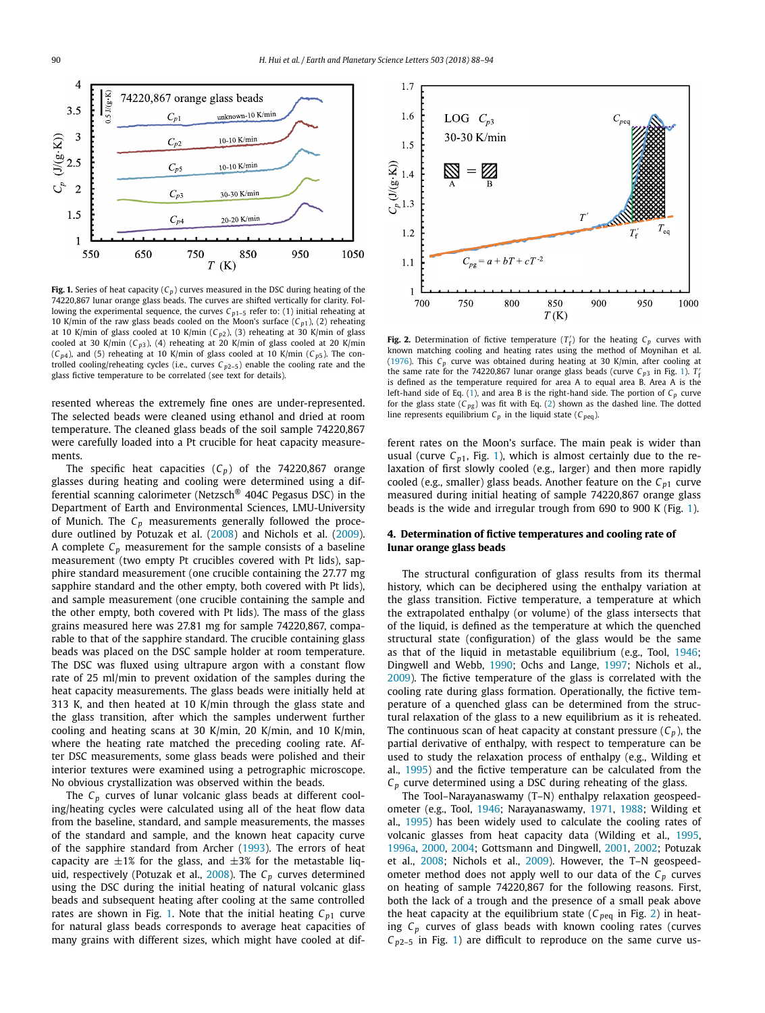<span id="page-2-0"></span>

**Fig. 1.** Series of heat capacity  $(C_p)$  curves measured in the DSC during heating of the 74220,867 lunar orange glass beads. The curves are shifted vertically for clarity. Following the experimental sequence, the curves  $C_{p1-5}$  refer to: (1) initial reheating at 10 K/min of the raw glass beads cooled on the Moon's surface  $(C_{p1})$ , (2) reheating at 10 K/min of glass cooled at 10 K/min (*C <sup>p</sup>*2), (3) reheating at 30 K/min of glass cooled at 30 K/min  $(C_{p3})$ , (4) reheating at 20 K/min of glass cooled at 20 K/min  $(C_{p4})$ , and (5) reheating at 10 K/min of glass cooled at 10 K/min  $(C_{p5})$ . The controlled cooling/reheating cycles (i.e., curves  $C_{p2-5}$ ) enable the cooling rate and the glass fictive temperature to be correlated (see text for details).

resented whereas the extremely fine ones are under-represented. The selected beads were cleaned using ethanol and dried at room temperature. The cleaned glass beads of the soil sample 74220,867 were carefully loaded into a Pt crucible for heat capacity measurements.

The specific heat capacities  $(C_p)$  of the 74220,867 orange glasses during heating and cooling were determined using a differential scanning calorimeter (Netzsch® 404C Pegasus DSC) in the Department of Earth and Environmental Sciences, LMU-University of Munich. The *Cp* measurements generally followed the procedure outlined by Potuzak et al. [\(2008\)](#page-6-0) and Nichols et al. [\(2009\)](#page-6-0). A complete  $C_p$  measurement for the sample consists of a baseline measurement (two empty Pt crucibles covered with Pt lids), sapphire standard measurement (one crucible containing the 27.77 mg sapphire standard and the other empty, both covered with Pt lids), and sample measurement (one crucible containing the sample and the other empty, both covered with Pt lids). The mass of the glass grains measured here was 27.81 mg for sample 74220,867, comparable to that of the sapphire standard. The crucible containing glass beads was placed on the DSC sample holder at room temperature. The DSC was fluxed using ultrapure argon with a constant flow rate of 25 ml/min to prevent oxidation of the samples during the heat capacity measurements. The glass beads were initially held at 313 K, and then heated at 10 K/min through the glass state and the glass transition, after which the samples underwent further cooling and heating scans at 30 K/min, 20 K/min, and 10 K/min, where the heating rate matched the preceding cooling rate. After DSC measurements, some glass beads were polished and their interior textures were examined using a petrographic microscope. No obvious crystallization was observed within the beads.

The *Cp* curves of lunar volcanic glass beads at different cooling/heating cycles were calculated using all of the heat flow data from the baseline, standard, and sample measurements, the masses of the standard and sample, and the known heat capacity curve of the sapphire standard from Archer [\(1993\)](#page-6-0). The errors of heat capacity are  $\pm 1\%$  for the glass, and  $\pm 3\%$  for the metastable liquid, respectively (Potuzak et al., [2008\)](#page-6-0). The *Cp* curves determined using the DSC during the initial heating of natural volcanic glass beads and subsequent heating after cooling at the same controlled rates are shown in Fig. 1. Note that the initial heating  $C_{p1}$  curve for natural glass beads corresponds to average heat capacities of many grains with different sizes, which might have cooled at dif-



**Fig. 2.** Determination of fictive temperature  $(T_f)$  for the heating  $C_p$  curves with known matching cooling and heating rates using the method of Moynihan et al. [\(1976\)](#page-6-0). This *Cp* curve was obtained during heating at 30 K/min, after cooling at the same rate for the 74220,867 lunar orange glass beads (curve  $C_{p3}$  in Fig. 1).  $T_1$ is defined as the temperature required for area A to equal area B. Area A is the left-hand side of Eq.  $(1)$ , and area B is the right-hand side. The portion of  $C_p$  curve for the glass state  $(C_{pg})$  was fit with Eq. [\(2\)](#page-3-0) shown as the dashed line. The dotted line represents equilibrium  $C_p$  in the liquid state ( $C_{peq}$ ).

ferent rates on the Moon's surface. The main peak is wider than usual (curve  $C_{p1}$ , Fig. 1), which is almost certainly due to the relaxation of first slowly cooled (e.g., larger) and then more rapidly cooled (e.g., smaller) glass beads. Another feature on the  $C_{p1}$  curve measured during initial heating of sample 74220,867 orange glass beads is the wide and irregular trough from 690 to 900 K (Fig. 1).

# **4. Determination of fictive temperatures and cooling rate of lunar orange glass beads**

The structural configuration of glass results from its thermal history, which can be deciphered using the enthalpy variation at the glass transition. Fictive temperature, a temperature at which the extrapolated enthalpy (or volume) of the glass intersects that of the liquid, is defined as the temperature at which the quenched structural state (configuration) of the glass would be the same as that of the liquid in metastable equilibrium (e.g., Tool, [1946;](#page-6-0) Dingwell and Webb, [1990;](#page-6-0) Ochs and Lange, [1997;](#page-6-0) Nichols et al., [2009\)](#page-6-0). The fictive temperature of the glass is correlated with the cooling rate during glass formation. Operationally, the fictive temperature of a quenched glass can be determined from the structural relaxation of the glass to a new equilibrium as it is reheated. The continuous scan of heat capacity at constant pressure  $(C_n)$ , the partial derivative of enthalpy, with respect to temperature can be used to study the relaxation process of enthalpy (e.g., Wilding et al., [1995\)](#page-6-0) and the fictive temperature can be calculated from the *Cp* curve determined using a DSC during reheating of the glass.

The Tool–Narayanaswamy (T–N) enthalpy relaxation geospeedometer (e.g., Tool, [1946;](#page-6-0) Narayanaswamy, [1971,](#page-6-0) [1988;](#page-6-0) Wilding et al., [1995\)](#page-6-0) has been widely used to calculate the cooling rates of volcanic glasses from heat capacity data (Wilding et al., [1995,](#page-6-0) [1996a,](#page-6-0) [2000,](#page-6-0) [2004;](#page-6-0) Gottsmann and Dingwell, [2001,](#page-6-0) [2002;](#page-6-0) Potuzak et al., [2008;](#page-6-0) Nichols et al., [2009\)](#page-6-0). However, the T–N geospeedometer method does not apply well to our data of the  $C_p$  curves on heating of sample 74220,867 for the following reasons. First, both the lack of a trough and the presence of a small peak above the heat capacity at the equilibrium state ( $C_{peq}$  in Fig. 2) in heating *Cp* curves of glass beads with known cooling rates (curves  $C_{p2-5}$  in Fig. 1) are difficult to reproduce on the same curve us-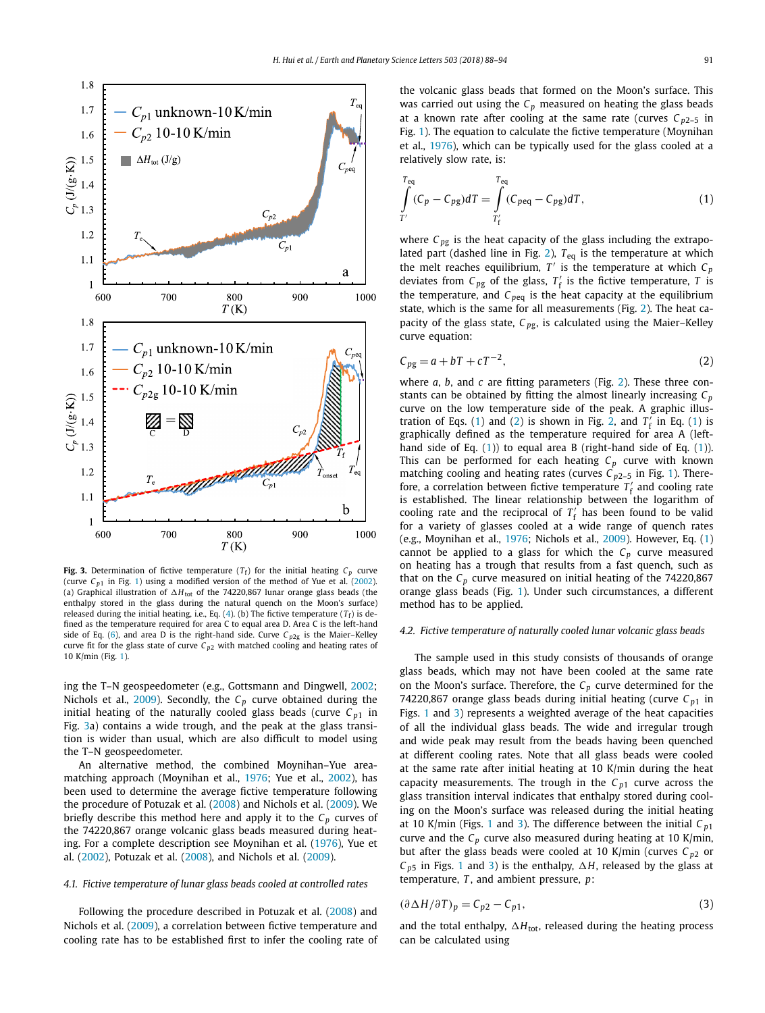<span id="page-3-0"></span>

**Fig. 3.** Determination of fictive temperature  $(T_f)$  for the initial heating  $C_p$  curve (curve  $C_{p1}$  in Fig. [1\)](#page-2-0) using a modified version of the method of Yue et al. [\(2002\)](#page-6-0). (a) Graphical illustration of  $\Delta H_{\text{tot}}$  of the 74220,867 lunar orange glass beads (the enthalpy stored in the glass during the natural quench on the Moon's surface) released during the initial heating, i.e., Eq.  $(4)$ . (b) The fictive temperature  $(T_f)$  is defined as the temperature required for area C to equal area D. Area C is the left-hand side of Eq. [\(6\)](#page-4-0), and area D is the right-hand side. Curve  $C_{p2g}$  is the Maier-Kelley curve fit for the glass state of curve  $C_{p2}$  with matched cooling and heating rates of 10 K/min (Fig. [1\)](#page-2-0).

ing the T–N geospeedometer (e.g., Gottsmann and Dingwell, [2002;](#page-6-0) Nichols et al., [2009\)](#page-6-0). Secondly, the  $C_p$  curve obtained during the initial heating of the naturally cooled glass beads (curve  $C_{p1}$  in Fig. 3a) contains a wide trough, and the peak at the glass transition is wider than usual, which are also difficult to model using the T–N geospeedometer.

An alternative method, the combined Moynihan–Yue areamatching approach (Moynihan et al., [1976;](#page-6-0) Yue et al., [2002\)](#page-6-0), has been used to determine the average fictive temperature following the procedure of Potuzak et al. [\(2008\)](#page-6-0) and Nichols et al. [\(2009\)](#page-6-0). We briefly describe this method here and apply it to the  $C_p$  curves of the 74220,867 orange volcanic glass beads measured during heating. For a complete description see Moynihan et al. [\(1976\)](#page-6-0), Yue et al. [\(2002\)](#page-6-0), Potuzak et al. [\(2008\)](#page-6-0), and Nichols et al. [\(2009\)](#page-6-0).

#### *4.1. Fictive temperature of lunar glass beads cooled at controlled rates*

Following the procedure described in Potuzak et al. [\(2008\)](#page-6-0) and Nichols et al. [\(2009\)](#page-6-0), a correlation between fictive temperature and cooling rate has to be established first to infer the cooling rate of the volcanic glass beads that formed on the Moon's surface. This was carried out using the  $C_p$  measured on heating the glass beads at a known rate after cooling at the same rate (curves  $C_{p2-5}$  in Fig. [1\)](#page-2-0). The equation to calculate the fictive temperature (Moynihan et al., [1976\)](#page-6-0), which can be typically used for the glass cooled at a relatively slow rate, is:

$$
\int_{T'}^{T_{\text{eq}}} (C_p - C_{pg}) dT = \int_{T'_f}^{T_{\text{eq}}} (C_{peq} - C_{pg}) dT, \tag{1}
$$

where  $C_{pg}$  is the heat capacity of the glass including the extrapolated part (dashed line in Fig. [2\)](#page-2-0), *T*eq is the temperature at which the melt reaches equilibrium,  $T'$  is the temperature at which  $C_p$ deviates from  $C_{pg}$  of the glass,  $T_f'$  is the fictive temperature,  $T$  is the temperature, and  $C_{peq}$  is the heat capacity at the equilibrium state, which is the same for all measurements (Fig. [2\)](#page-2-0). The heat capacity of the glass state, *C <sup>p</sup>*g, is calculated using the Maier–Kelley curve equation:

$$
C_{pg} = a + bT + cT^{-2},\tag{2}
$$

where *a*, *b*, and *c* are fitting parameters (Fig. [2\)](#page-2-0). These three constants can be obtained by fitting the almost linearly increasing  $C_p$ curve on the low temperature side of the peak. A graphic illus-tration of Eqs. (1) and (2) is shown in Fig. [2,](#page-2-0) and  $T'_f$  in Eq. (1) is graphically defined as the temperature required for area A (lefthand side of Eq. (1)) to equal area B (right-hand side of Eq. (1)). This can be performed for each heating  $C_p$  curve with known matching cooling and heating rates (curves  $C_{p2-5}$  in Fig. [1\)](#page-2-0). Therefore, a correlation between fictive temperature  $T_f$  and cooling rate is established. The linear relationship between the logarithm of cooling rate and the reciprocal of  $T_f$  has been found to be valid for a variety of glasses cooled at a wide range of quench rates (e.g., Moynihan et al., [1976;](#page-6-0) Nichols et al., [2009\)](#page-6-0). However, Eq. (1) cannot be applied to a glass for which the  $C_p$  curve measured on heating has a trough that results from a fast quench, such as that on the  $C_p$  curve measured on initial heating of the  $74220,867$ orange glass beads (Fig. [1\)](#page-2-0). Under such circumstances, a different method has to be applied.

#### *4.2. Fictive temperature of naturally cooled lunar volcanic glass beads*

The sample used in this study consists of thousands of orange glass beads, which may not have been cooled at the same rate on the Moon's surface. Therefore, the  $C_p$  curve determined for the 74220,867 orange glass beads during initial heating (curve  $C_{p1}$  in Figs. [1](#page-2-0) and 3) represents a weighted average of the heat capacities of all the individual glass beads. The wide and irregular trough and wide peak may result from the beads having been quenched at different cooling rates. Note that all glass beads were cooled at the same rate after initial heating at 10 K/min during the heat capacity measurements. The trough in the  $C_{p1}$  curve across the glass transition interval indicates that enthalpy stored during cooling on the Moon's surface was released during the initial heating at 10 K/min (Figs. [1](#page-2-0) and 3). The difference between the initial *C <sup>p</sup>*<sup>1</sup> curve and the  $C_p$  curve also measured during heating at 10 K/min, but after the glass beads were cooled at 10 K/min (curves  $C_{p2}$  or  $C_{p5}$  in Figs. [1](#page-2-0) and 3) is the enthalpy,  $\Delta H$ , released by the glass at temperature, *T* , and ambient pressure, *p*:

$$
(\partial \Delta H / \partial T)_p = C_{p2} - C_{p1},\tag{3}
$$

and the total enthalpy,  $\Delta H_{\text{tot}}$ , released during the heating process can be calculated using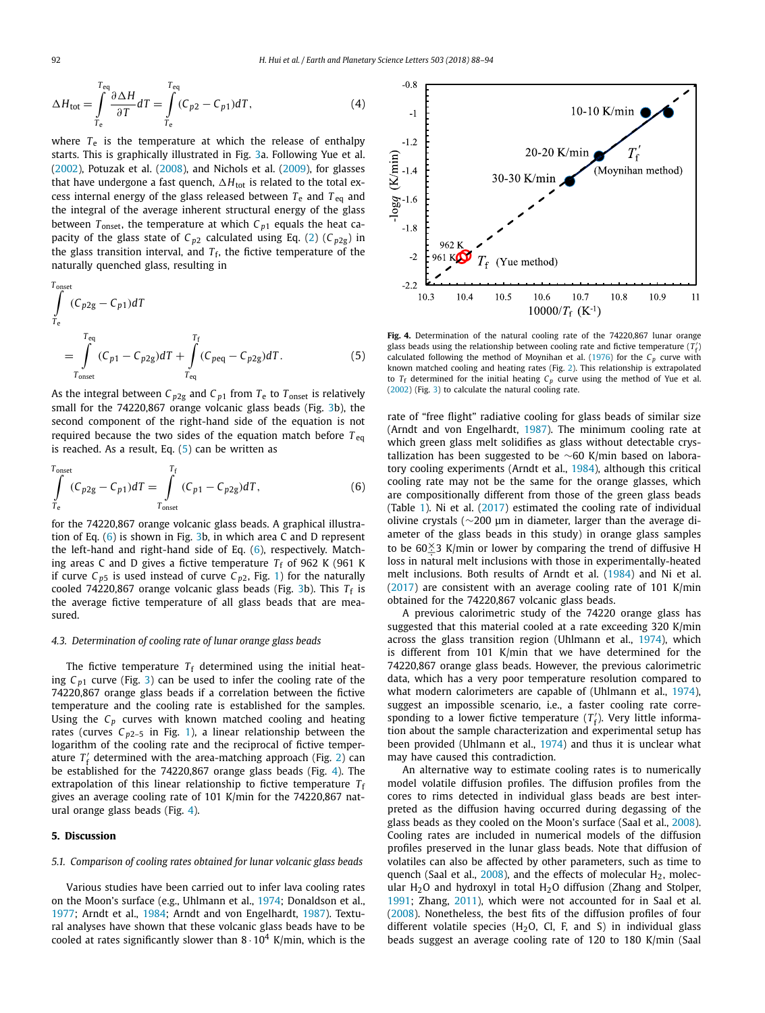<span id="page-4-0"></span>
$$
\Delta H_{\text{tot}} = \int_{T_{\text{e}}}^{T_{\text{eq}}} \frac{\partial \Delta H}{\partial T} dT = \int_{T_{\text{e}}}^{T_{\text{eq}}} (C_{p2} - C_{p1}) dT, \tag{4}
$$

where  $T_e$  is the temperature at which the release of enthalpy starts. This is graphically illustrated in Fig. [3a](#page-3-0). Following Yue et al. [\(2002\)](#page-6-0), Potuzak et al. [\(2008\)](#page-6-0), and Nichols et al. [\(2009\)](#page-6-0), for glasses that have undergone a fast quench,  $\Delta H_{\rm tot}$  is related to the total excess internal energy of the glass released between  $T_e$  and  $T_{eq}$  and the integral of the average inherent structural energy of the glass between  $T_{onset}$ , the temperature at which  $C_{p1}$  equals the heat capacity of the glass state of  $C_{p2}$  calculated using Eq. [\(2\)](#page-3-0) ( $C_{p2g}$ ) in the glass transition interval, and  $T_f$ , the fictive temperature of the naturally quenched glass, resulting in

$$
\int_{T_{e}}^{T_{onset}} (C_{p2g} - C_{p1}) dT
$$
\n
$$
= \int_{T_{onset}}^{T_{eq}} (C_{p1} - C_{p2g}) dT + \int_{T_{eq}}^{T_{f}} (C_{peq} - C_{p2g}) dT.
$$
\n(5)

As the integral between  $C_{p2g}$  and  $C_{p1}$  from  $T_e$  to  $T_{onset}$  is relatively small for the 74220,867 orange volcanic glass beads (Fig. [3b](#page-3-0)), the second component of the right-hand side of the equation is not required because the two sides of the equation match before  $T_{eq}$ is reached. As a result, Eq. (5) can be written as

$$
\int_{T_e}^{T_{onset}} (C_{p2g} - C_{p1}) dT = \int_{T_{onset}}^{T_f} (C_{p1} - C_{p2g}) dT,
$$
\n(6)

for the 74220,867 orange volcanic glass beads. A graphical illustration of Eq. (6) is shown in Fig. [3b](#page-3-0), in which area C and D represent the left-hand and right-hand side of Eq. (6), respectively. Matching areas C and D gives a fictive temperature  $T_f$  of 962 K (961 K if curve  $C_{p5}$  is used instead of curve  $C_{p2}$ , Fig. [1\)](#page-2-0) for the naturally cooled 74220,867 orange volcanic glass beads (Fig. [3b](#page-3-0)). This  $T_f$  is the average fictive temperature of all glass beads that are measured.

#### *4.3. Determination of cooling rate of lunar orange glass beads*

The fictive temperature  $T_f$  determined using the initial heating  $C_{p1}$  curve (Fig. [3\)](#page-3-0) can be used to infer the cooling rate of the 74220,867 orange glass beads if a correlation between the fictive temperature and the cooling rate is established for the samples. Using the *Cp* curves with known matched cooling and heating rates (curves  $C_{p2-5}$  in Fig. [1\)](#page-2-0), a linear relationship between the logarithm of the cooling rate and the reciprocal of fictive temperature  $T_f'$  determined with the area-matching approach (Fig. [2\)](#page-2-0) can be established for the 74220,867 orange glass beads (Fig. 4). The extrapolation of this linear relationship to fictive temperature  $T_f$ gives an average cooling rate of 101 K/min for the 74220,867 natural orange glass beads (Fig. 4).

#### **5. Discussion**

#### *5.1. Comparison of cooling rates obtained for lunar volcanic glass beads*

Various studies have been carried out to infer lava cooling rates on the Moon's surface (e.g., Uhlmann et al., [1974;](#page-6-0) Donaldson et al., [1977;](#page-6-0) Arndt et al., [1984;](#page-6-0) Arndt and von Engelhardt, [1987\)](#page-6-0). Textural analyses have shown that these volcanic glass beads have to be cooled at rates significantly slower than  $8 \cdot 10^4$  K/min, which is the



**Fig. 4.** Determination of the natural cooling rate of the 74220,867 lunar orange glass beads using the relationship between cooling rate and fictive temperature  $(T'_f)$ calculated following the method of Moynihan et al. [\(1976\)](#page-6-0) for the  $C_p$  curve with known matched cooling and heating rates (Fig. [2\)](#page-2-0). This relationship is extrapolated to  $T_f$  determined for the initial heating  $C_p$  curve using the method of Yue et al. [\(2002\)](#page-6-0) (Fig. [3\)](#page-3-0) to calculate the natural cooling rate.

rate of "free flight" radiative cooling for glass beads of similar size (Arndt and von Engelhardt, [1987\)](#page-6-0). The minimum cooling rate at which green glass melt solidifies as glass without detectable crystallization has been suggested to be  $\sim$ 60 K/min based on labora-tory cooling experiments (Arndt et al., [1984\)](#page-6-0), although this critical cooling rate may not be the same for the orange glasses, which are compositionally different from those of the green glass beads (Table [1\)](#page-1-0). Ni et al. [\(2017\)](#page-6-0) estimated the cooling rate of individual olivine crystals (∼200 μm in diameter, larger than the average diameter of the glass beads in this study) in orange glass samples to be  $60\frac{\times}{3}$  K/min or lower by comparing the trend of diffusive H<br>loss in patural melt inclusions with those in experimentally boated loss in natural melt inclusions with those in experimentally-heated melt inclusions. Both results of Arndt et al. [\(1984\)](#page-6-0) and Ni et al. [\(2017\)](#page-6-0) are consistent with an average cooling rate of 101 K/min obtained for the 74220,867 volcanic glass beads.

A previous calorimetric study of the 74220 orange glass has suggested that this material cooled at a rate exceeding 320 K/min across the glass transition region (Uhlmann et al., [1974\)](#page-6-0), which is different from 101 K/min that we have determined for the 74220,867 orange glass beads. However, the previous calorimetric data, which has a very poor temperature resolution compared to what modern calorimeters are capable of (Uhlmann et al., [1974\)](#page-6-0), suggest an impossible scenario, i.e., a faster cooling rate corresponding to a lower fictive temperature  $(T'_f)$ . Very little information about the sample characterization and experimental setup has been provided (Uhlmann et al., [1974\)](#page-6-0) and thus it is unclear what may have caused this contradiction.

An alternative way to estimate cooling rates is to numerically model volatile diffusion profiles. The diffusion profiles from the cores to rims detected in individual glass beads are best interpreted as the diffusion having occurred during degassing of the glass beads as they cooled on the Moon's surface (Saal et al., [2008\)](#page-6-0). Cooling rates are included in numerical models of the diffusion profiles preserved in the lunar glass beads. Note that diffusion of volatiles can also be affected by other parameters, such as time to quench (Saal et al.,  $2008$ ), and the effects of molecular  $H_2$ , molecular  $H<sub>2</sub>O$  and hydroxyl in total  $H<sub>2</sub>O$  diffusion (Zhang and Stolper, [1991;](#page-6-0) Zhang, [2011\)](#page-6-0), which were not accounted for in Saal et al. [\(2008\)](#page-6-0). Nonetheless, the best fits of the diffusion profiles of four different volatile species  $(H<sub>2</sub>O, Cl, F, and S)$  in individual glass beads suggest an average cooling rate of 120 to 180 K/min (Saal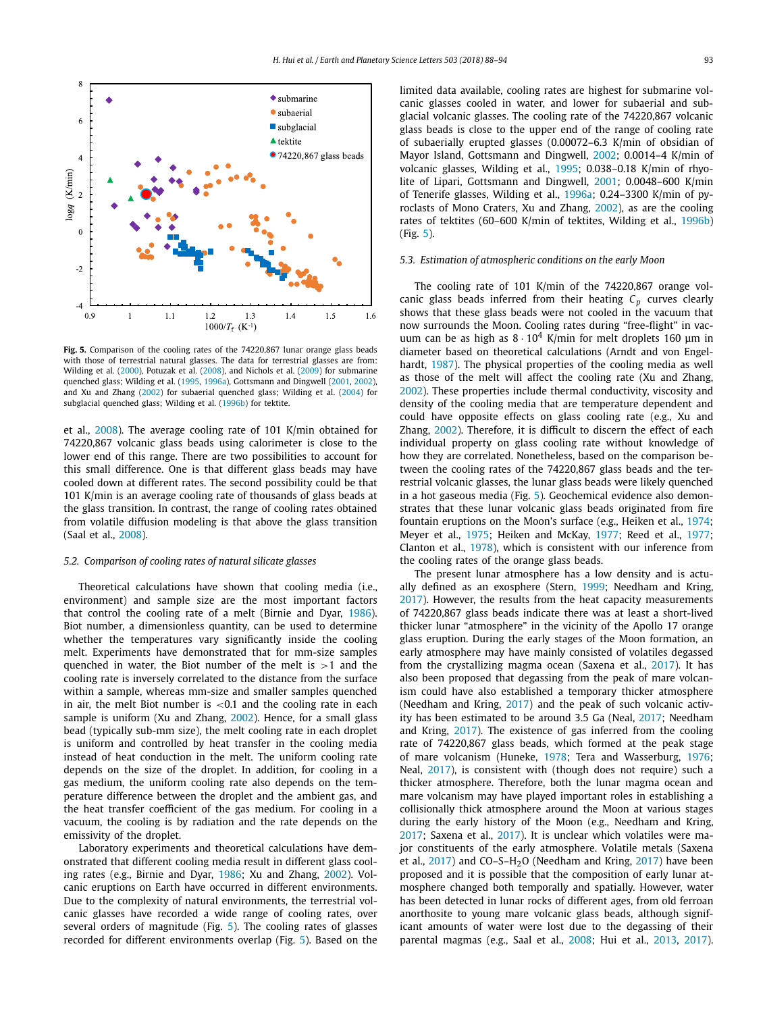

**Fig. 5.** Comparison of the cooling rates of the 74220,867 lunar orange glass beads with those of terrestrial natural glasses. The data for terrestrial glasses are from: Wilding et al. [\(2000\)](#page-6-0), Potuzak et al. [\(2008\)](#page-6-0), and Nichols et al. [\(2009\)](#page-6-0) for submarine quenched glass; Wilding et al. [\(1995,](#page-6-0) [1996a\)](#page-6-0), Gottsmann and Dingwell [\(2001,](#page-6-0) [2002\)](#page-6-0), and Xu and Zhang [\(2002\)](#page-6-0) for subaerial quenched glass; Wilding et al. [\(2004\)](#page-6-0) for subglacial quenched glass; Wilding et al. [\(1996b\)](#page-6-0) for tektite.

et al., [2008\)](#page-6-0). The average cooling rate of 101 K/min obtained for 74220,867 volcanic glass beads using calorimeter is close to the lower end of this range. There are two possibilities to account for this small difference. One is that different glass beads may have cooled down at different rates. The second possibility could be that 101 K/min is an average cooling rate of thousands of glass beads at the glass transition. In contrast, the range of cooling rates obtained from volatile diffusion modeling is that above the glass transition (Saal et al., [2008\)](#page-6-0).

#### *5.2. Comparison of cooling rates of natural silicate glasses*

Theoretical calculations have shown that cooling media (i.e., environment) and sample size are the most important factors that control the cooling rate of a melt (Birnie and Dyar, [1986\)](#page-6-0). Biot number, a dimensionless quantity, can be used to determine whether the temperatures vary significantly inside the cooling melt. Experiments have demonstrated that for mm-size samples quenched in water, the Biot number of the melt is *>*1 and the cooling rate is inversely correlated to the distance from the surface within a sample, whereas mm-size and smaller samples quenched in air, the melt Biot number is *<*0.1 and the cooling rate in each sample is uniform (Xu and Zhang, [2002\)](#page-6-0). Hence, for a small glass bead (typically sub-mm size), the melt cooling rate in each droplet is uniform and controlled by heat transfer in the cooling media instead of heat conduction in the melt. The uniform cooling rate depends on the size of the droplet. In addition, for cooling in a gas medium, the uniform cooling rate also depends on the temperature difference between the droplet and the ambient gas, and the heat transfer coefficient of the gas medium. For cooling in a vacuum, the cooling is by radiation and the rate depends on the emissivity of the droplet.

Laboratory experiments and theoretical calculations have demonstrated that different cooling media result in different glass cooling rates (e.g., Birnie and Dyar, [1986;](#page-6-0) Xu and Zhang, [2002\)](#page-6-0). Volcanic eruptions on Earth have occurred in different environments. Due to the complexity of natural environments, the terrestrial volcanic glasses have recorded a wide range of cooling rates, over several orders of magnitude (Fig. 5). The cooling rates of glasses recorded for different environments overlap (Fig. 5). Based on the limited data available, cooling rates are highest for submarine volcanic glasses cooled in water, and lower for subaerial and subglacial volcanic glasses. The cooling rate of the 74220,867 volcanic glass beads is close to the upper end of the range of cooling rate of subaerially erupted glasses (0.00072–6.3 K/min of obsidian of Mayor Island, Gottsmann and Dingwell, [2002;](#page-6-0) 0.0014–4 K/min of volcanic glasses, Wilding et al., [1995;](#page-6-0) 0.038–0.18 K/min of rhyolite of Lipari, Gottsmann and Dingwell, [2001;](#page-6-0) 0.0048–600 K/min of Tenerife glasses, Wilding et al., [1996a;](#page-6-0) 0.24–3300 K/min of pyroclasts of Mono Craters, Xu and Zhang, [2002\)](#page-6-0), as are the cooling rates of tektites (60–600 K/min of tektites, Wilding et al., [1996b\)](#page-6-0) (Fig. 5).

# *5.3. Estimation of atmospheric conditions on the early Moon*

The cooling rate of 101 K/min of the 74220,867 orange volcanic glass beads inferred from their heating  $C_p$  curves clearly shows that these glass beads were not cooled in the vacuum that now surrounds the Moon. Cooling rates during "free-flight" in vacuum can be as high as  $8 \cdot 10^4$  K/min for melt droplets 160 µm in diameter based on theoretical calculations (Arndt and von Engelhardt, [1987\)](#page-6-0). The physical properties of the cooling media as well as those of the melt will affect the cooling rate (Xu and Zhang, [2002\)](#page-6-0). These properties include thermal conductivity, viscosity and density of the cooling media that are temperature dependent and could have opposite effects on glass cooling rate (e.g., Xu and Zhang, [2002\)](#page-6-0). Therefore, it is difficult to discern the effect of each individual property on glass cooling rate without knowledge of how they are correlated. Nonetheless, based on the comparison between the cooling rates of the 74220,867 glass beads and the terrestrial volcanic glasses, the lunar glass beads were likely quenched in a hot gaseous media (Fig. 5). Geochemical evidence also demonstrates that these lunar volcanic glass beads originated from fire fountain eruptions on the Moon's surface (e.g., Heiken et al., [1974;](#page-6-0) Meyer et al., [1975;](#page-6-0) Heiken and McKay, [1977;](#page-6-0) Reed et al., [1977;](#page-6-0) Clanton et al., [1978\)](#page-6-0), which is consistent with our inference from the cooling rates of the orange glass beads.

The present lunar atmosphere has a low density and is actually defined as an exosphere (Stern, [1999;](#page-6-0) Needham and Kring, [2017\)](#page-6-0). However, the results from the heat capacity measurements of 74220,867 glass beads indicate there was at least a short-lived thicker lunar "atmosphere" in the vicinity of the Apollo 17 orange glass eruption. During the early stages of the Moon formation, an early atmosphere may have mainly consisted of volatiles degassed from the crystallizing magma ocean (Saxena et al., [2017\)](#page-6-0). It has also been proposed that degassing from the peak of mare volcanism could have also established a temporary thicker atmosphere (Needham and Kring, [2017\)](#page-6-0) and the peak of such volcanic activity has been estimated to be around 3.5 Ga (Neal, [2017;](#page-6-0) Needham and Kring, [2017\)](#page-6-0). The existence of gas inferred from the cooling rate of 74220,867 glass beads, which formed at the peak stage of mare volcanism (Huneke, [1978;](#page-6-0) Tera and Wasserburg, [1976;](#page-6-0) Neal, [2017\)](#page-6-0), is consistent with (though does not require) such a thicker atmosphere. Therefore, both the lunar magma ocean and mare volcanism may have played important roles in establishing a collisionally thick atmosphere around the Moon at various stages during the early history of the Moon (e.g., Needham and Kring, [2017;](#page-6-0) Saxena et al., [2017\)](#page-6-0). It is unclear which volatiles were major constituents of the early atmosphere. Volatile metals (Saxena et al.,  $2017$ ) and CO–S–H<sub>2</sub>O (Needham and Kring,  $2017$ ) have been proposed and it is possible that the composition of early lunar atmosphere changed both temporally and spatially. However, water has been detected in lunar rocks of different ages, from old ferroan anorthosite to young mare volcanic glass beads, although significant amounts of water were lost due to the degassing of their parental magmas (e.g., Saal et al., [2008;](#page-6-0) Hui et al., [2013,](#page-6-0) [2017\)](#page-6-0).